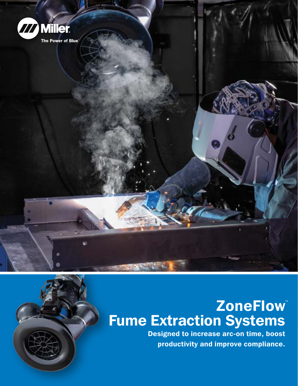

# ZoneFlow<sup>®</sup> Fume Extraction Systems

Designed to increase arc-on time, boost productivity and improve compliance.

 $\mathbf{F}$   $\mathbf{F}$   $\mathbf{F}$   $\mathbf{F}$   $\mathbf{F}$   $\mathbf{F}$   $\mathbf{F}$   $\mathbf{F}$ 

Engineering Controls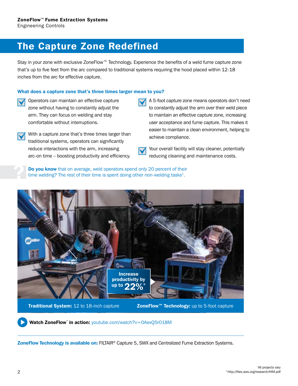### The Capture Zone Redefined

Stay in your zone with exclusive ZoneFlow™ Technology. Experience the benefits of a weld fume capture zone that's up to five feet from the arc compared to traditional systems requiring the hood placed within 12-18 inches from the arc for effective capture.

#### What does a capture zone that's three times larger mean to you?

- Operators can maintain an effective capture zone without having to constantly adjust the arm. They can focus on welding and stay comfortable without interruptions.
	- With a capture zone that's three times larger than a capture compliance. traditional systems, operators can significantly reduce interactions with the arm, increasing arc-on time – boosting productivity and efficiency.
- A 5-foot capture zone means operators don't need to constantly adjust the arm over their weld piece to maintain an effective capture zone, increasing user acceptance and fume capture. This makes it easier to maintain a clean environment, helping to
	- Your overall facility will stay cleaner, potentially reducing cleaning and maintenance costs.

Do you know that on average, weld operators spend only 20 percent of their time welding? The rest of their time is spent doing other non-welding tasks $4$ .



#### Watch ZoneFlow™ in action: [youtube.com/watch?v=0AexQ5r018M](https://www.youtube.com/watch?v=0AexQ5r018M)

ZoneFlow Technology is available on: FILTAIR® Capture 5, SWX and Centralized Fume Extraction Systems.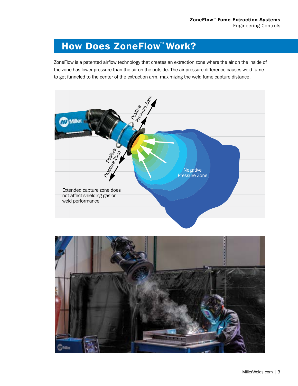# How Does ZoneFlow™ Work?

ZoneFlow is a patented airflow technology that creates an extraction zone where the air on the inside of the zone has lower pressure than the air on the outside. The air pressure difference causes weld fume to get funneled to the center of the extraction arm, maximizing the weld fume capture distance.



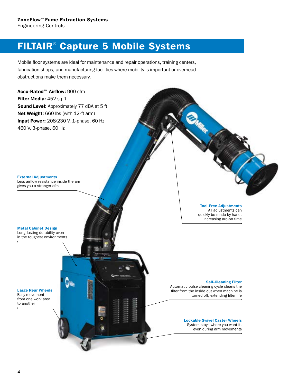## FILTAIR® Capture 5 Mobile Systems

Mobile floor systems are ideal for maintenance and repair operations, training centers, fabrication shops, and manufacturing facilities where mobility is important or overhead obstructions make them necessary.

Accu-Rated™ Airflow: 900 cfm Filter Media: 452 sq ft Sound Level: Approximately 77 dBA at 5 ft Net Weight: 660 lbs (with 12-ft arm) **Input Power:** 208/230 V, 1-phase, 60 Hz 460 V, 3-phase, 60 Hz

External Adjustments Less airflow resistance inside the arm gives you a stronger cfm

Metal Cabinet Design

Long-lasting durability even in the toughest environments

Large Rear Wheels Easy movement from one work area to another

Tool-Free Adjustments All adjustments can quickly be made by hand, increasing arc-on time

#### Self-Cleaning Filter

Automatic pulse cleaning cycle cleans the filter from the inside out when machine is turned off, extending filter life

> Lockable Swivel Caster Wheels System stays where you want it, even during arm movements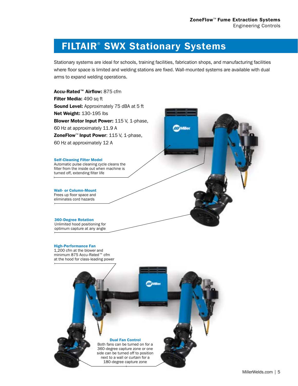### FILTAIR® SWX Stationary Systems

Stationary systems are ideal for schools, training facilities, fabrication shops, and manufacturing facilities where floor space is limited and welding stations are fixed. Wall-mounted systems are available with dual arms to expand welding operations.

Accu-Rated™ Airflow: 875 cfm Filter Media: 490 sq ft Sound Level: Approximately 75 dBA at 5 ft Net Weight: 130-195 lbs Blower Motor Input Power: 115 V, 1-phase, 60 Hz at approximately 11.9 A Miller ZoneFlow<sup>™</sup> Input Power: 115 V, 1-phase, 60 Hz at approximately 12 A Self-Cleaning Filter Model Automatic pulse cleaning cycle cleans the filter from the inside out when machine is turned off, extending filter life Wall- or Column-Mount Frees up floor space and eliminates cord hazards360-Degree Rotation Unlimited hood positioning for optimum capture at any angle High-Performance Fan 1,200 cfm at the blower and minimum 875 Accu-Rated™ cfm

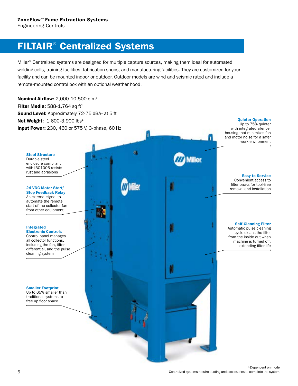## FILTAIR® Centralized Systems

Miller® Centralized systems are designed for multiple capture sources, making them ideal for automated welding cells, training facilities, fabrication shops, and manufacturing facilities. They are customized for your facility and can be mounted indoor or outdoor. Outdoor models are wind and seismic rated and include a remote-mounted control box with an optional weather hood.

Nominal Airflow: 2,000-10,500 cfm1 Filter Media:  $588-1,764$  sq ft<sup>1</sup> Sound Level: Approximately 72-75 dBA<sup>1</sup> at 5 ft Net Weight: 1,600-3,900 lbs<sup>1</sup> Input Power: 230, 460 or 575 V, 3-phase, 60 Hz

Steel Structure Durable steel enclosure compliant with IBC1006 resists

rust and abrasions

24 VDC Motor Start/ Stop Feedback Relay An external signal to automate the remote start of the collector fan from other equipment

#### Integrated

Electronic Controls Control panel manages all collector functions, including the fan, filter differential, and the pulse cleaning system

Smaller Footprint Up to 65% smaller than traditional systems to free up floor space

Quieter Operation Up to 75% quieter with integrated silencer housing that minimizes fan and motor noise for a safer work environment

> Easy to Service Convenient access to filter packs for tool-free removal and installation

Self-Cleaning Filter Automatic pulse cleaning cycle cleans the filter from the inside out when machine is turned off, extending filter life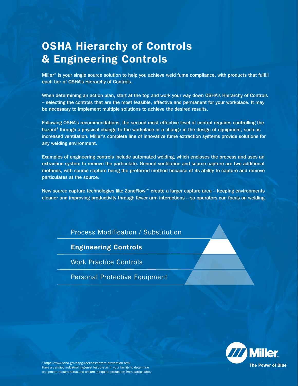# OSHA Hierarchy of Controls & Engineering Controls

Miller® is your single source solution to help you achieve weld fume compliance, with products that fulfill each tier of OSHA's Hierarchy of Controls.

When determining an action plan, start at the top and work your way down OSHA's Hierarchy of Controls – selecting the controls that are the most feasible, effective and permanent for your workplace. It may be necessary to implement multiple solutions to achieve the desired results.

Following OSHA's recommendations, the second most effective level of control requires controlling the hazard<sup>1</sup> through a physical change to the workplace or a change in the design of equipment, such as increased ventilation. Miller's complete line of innovative fume extraction systems provide solutions for any welding environment.

Examples of engineering controls include automated welding, which encloses the process and uses an extraction system to remove the particulate. General ventilation and source capture are two additional methods, with source capture being the preferred method because of its ability to capture and remove particulates at the source.

New source capture technologies like ZoneFlow™ create a larger capture area – keeping environments cleaner and improving productivity through fewer arm interactions – so operators can focus on welding.

Process Modification / Substitution

#### Engineering Controls

Work Practice Controls

Personal Protective Equipment



<sup>1</sup> <https://www.osha.gov/shpguidelines/hazard-prevention.html> Have a certified industrial hygienist test the air in your facility to determine equipment requirements and ensure adequate protection from particulates.